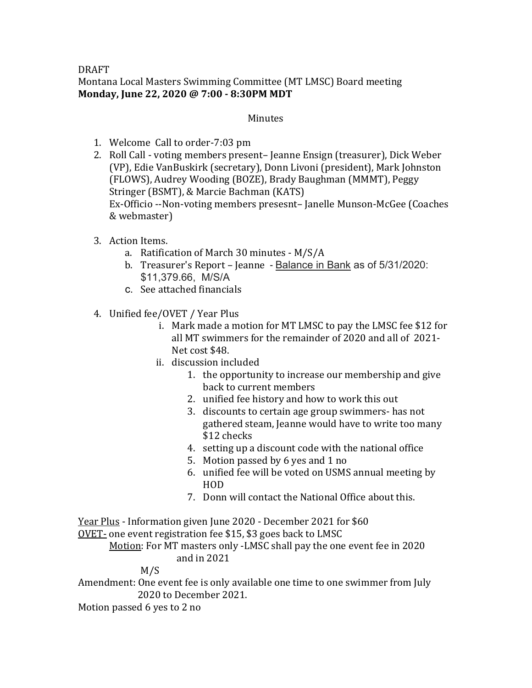## DRAFT Montana Local Masters Swimming Committee (MT LMSC) Board meeting Monday, June 22, 2020 @ 7:00 - 8:30PM MDT

## Minutes

- 1. Welcome Call to order-7:03 pm
- 2. Roll Call voting members present– Jeanne Ensign (treasurer), Dick Weber (VP), Edie VanBuskirk (secretary), Donn Livoni (president), Mark Johnston (FLOWS), Audrey Wooding (BOZE), Brady Baughman (MMMT), Peggy Stringer (BSMT), & Marcie Bachman (KATS) Ex-Officio --Non-voting members presesnt- Janelle Munson-McGee (Coaches & webmaster)
- 3. Action Items.
	- a. Ratification of March 30 minutes  $M/S/A$
	- b. Treasurer's Report Jeanne Balance in Bank as of 5/31/2020: \$11,379.66, M/S/A
	- c. See attached financials
- 4. Unified fee/OVET / Year Plus
	- i. Mark made a motion for MT LMSC to pay the LMSC fee \$12 for all MT swimmers for the remainder of 2020 and all of 2021-Net cost \$48.
	- ii. discussion included
		- 1. the opportunity to increase our membership and give back to current members
		- 2. unified fee history and how to work this out
		- 3. discounts to certain age group swimmers- has not gathered steam, Jeanne would have to write too many \$12 checks
		- 4. setting up a discount code with the national office
		- 5. Motion passed by 6 yes and 1 no
		- 6. unified fee will be voted on USMS annual meeting by HOD
		- 7. Donn will contact the National Office about this.

Year Plus - Information given June 2020 - December 2021 for \$60

OVET- one event registration fee \$15, \$3 goes back to LMSC

Motion: For MT masters only -LMSC shall pay the one event fee in 2020 and in  $2021$ 

M/S

Amendment: One event fee is only available one time to one swimmer from July 2020 to December 2021.

Motion passed 6 yes to 2 no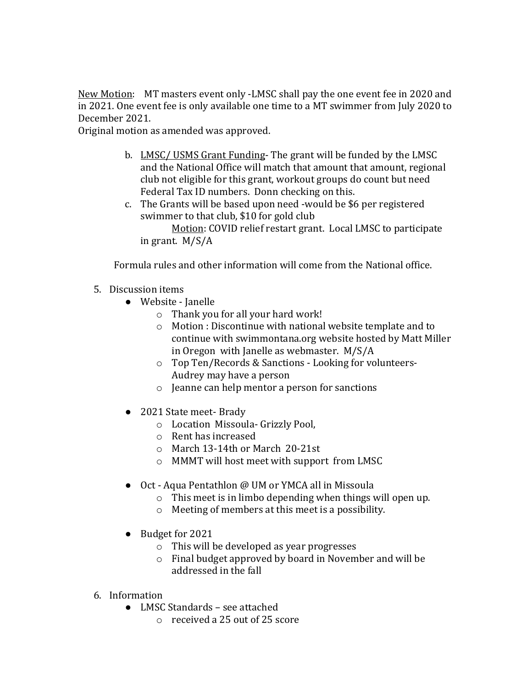New Motion: MT masters event only -LMSC shall pay the one event fee in 2020 and in 2021. One event fee is only available one time to a MT swimmer from July 2020 to December 2021.

Original motion as amended was approved.

- b. LMSC/ USMS Grant Funding- The grant will be funded by the LMSC and the National Office will match that amount that amount, regional club not eligible for this grant, workout groups do count but need Federal Tax ID numbers. Donn checking on this.
- c. The Grants will be based upon need -would be \$6 per registered swimmer to that club, \$10 for gold club

Motion: COVID relief restart grant. Local LMSC to participate in grant.  $M/S/A$ 

Formula rules and other information will come from the National office.

## 5. Discussion items

- Website Janelle
	- $\circ$  Thank you for all your hard work!
	- $\circ$  Motion : Discontinue with national website template and to continue with swimmontana.org website hosted by Matt Miller in Oregon with Janelle as webmaster.  $M/S/A$
	- o Top Ten/Records & Sanctions Looking for volunteers-Audrey may have a person
	- $\circ$  Jeanne can help mentor a person for sanctions
- 2021 State meet- Brady
	- $\circ$  Location Missoula- Grizzly Pool,
	- $\circ$  Rent has increased
	- $\circ$  March 13-14th or March 20-21st
	- o MMMT will host meet with support from LMSC
- Oct Aqua Pentathlon @ UM or YMCA all in Missoula
	- $\circ$  This meet is in limbo depending when things will open up.
	- $\circ$  Meeting of members at this meet is a possibility.
- Budget for 2021
	- $\circ$  This will be developed as year progresses
	- $\circ$  Final budget approved by board in November and will be addressed in the fall
- 6. Information
	- LMSC Standards see attached
		- $\circ$  received a 25 out of 25 score